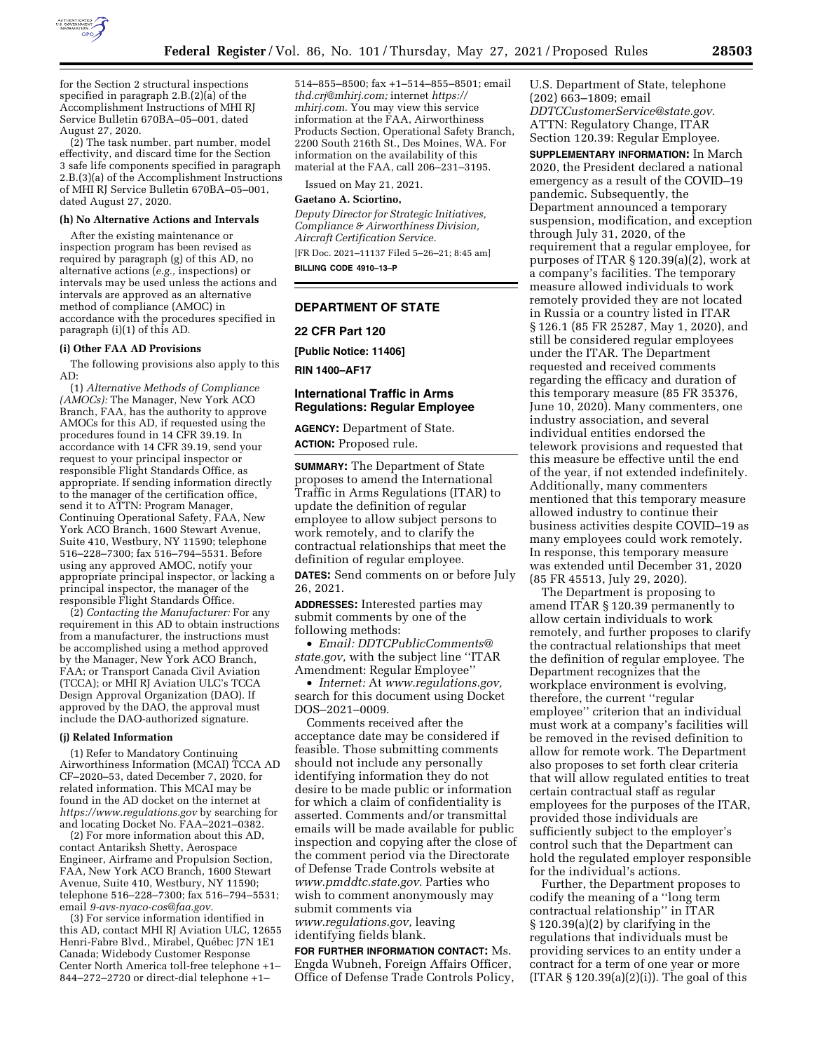

for the Section 2 structural inspections specified in paragraph 2.B.(2)(a) of the Accomplishment Instructions of MHI RJ Service Bulletin 670BA–05–001, dated August 27, 2020.

(2) The task number, part number, model effectivity, and discard time for the Section 3 safe life components specified in paragraph 2.B.(3)(a) of the Accomplishment Instructions of MHI RJ Service Bulletin 670BA–05–001, dated August 27, 2020.

#### **(h) No Alternative Actions and Intervals**

After the existing maintenance or inspection program has been revised as required by paragraph (g) of this AD, no alternative actions (*e.g.,* inspections) or intervals may be used unless the actions and intervals are approved as an alternative method of compliance (AMOC) in accordance with the procedures specified in paragraph (i)(1) of this AD.

#### **(i) Other FAA AD Provisions**

The following provisions also apply to this AD:

(1) *Alternative Methods of Compliance (AMOCs):* The Manager, New York ACO Branch, FAA, has the authority to approve AMOCs for this AD, if requested using the procedures found in 14 CFR 39.19. In accordance with 14 CFR 39.19, send your request to your principal inspector or responsible Flight Standards Office, as appropriate. If sending information directly to the manager of the certification office, send it to ATTN: Program Manager, Continuing Operational Safety, FAA, New York ACO Branch, 1600 Stewart Avenue, Suite 410, Westbury, NY 11590; telephone 516–228–7300; fax 516–794–5531. Before using any approved AMOC, notify your appropriate principal inspector, or lacking a principal inspector, the manager of the responsible Flight Standards Office.

(2) *Contacting the Manufacturer:* For any requirement in this AD to obtain instructions from a manufacturer, the instructions must be accomplished using a method approved by the Manager, New York ACO Branch, FAA; or Transport Canada Civil Aviation (TCCA); or MHI RJ Aviation ULC's TCCA Design Approval Organization (DAO). If approved by the DAO, the approval must include the DAO-authorized signature.

#### **(j) Related Information**

(1) Refer to Mandatory Continuing Airworthiness Information (MCAI) TCCA AD CF–2020–53, dated December 7, 2020, for related information. This MCAI may be found in the AD docket on the internet at *<https://www.regulations.gov>* by searching for and locating Docket No. FAA–2021–0382.

(2) For more information about this AD, contact Antariksh Shetty, Aerospace Engineer, Airframe and Propulsion Section, FAA, New York ACO Branch, 1600 Stewart Avenue, Suite 410, Westbury, NY 11590; telephone 516–228–7300; fax 516–794–5531; email *[9-avs-nyaco-cos@faa.gov.](mailto:9-avs-nyaco-cos@faa.gov)* 

(3) For service information identified in this AD, contact MHI RJ Aviation ULC, 12655 Henri-Fabre Blvd., Mirabel, Québec J7N 1E1 Canada; Widebody Customer Response Center North America toll-free telephone +1– 844–272–2720 or direct-dial telephone +1–

514–855–8500; fax +1–514–855–8501; email *[thd.crj@mhirj.com;](mailto:thd.crj@mhirj.com)* internet *[https://](https://mhirj.com) [mhirj.com.](https://mhirj.com)* You may view this service information at the FAA, Airworthiness Products Section, Operational Safety Branch, 2200 South 216th St., Des Moines, WA. For information on the availability of this material at the FAA, call 206–231–3195.

Issued on May 21, 2021.

#### **Gaetano A. Sciortino,**

*Deputy Director for Strategic Initiatives, Compliance & Airworthiness Division, Aircraft Certification Service.* 

[FR Doc. 2021–11137 Filed 5–26–21; 8:45 am] **BILLING CODE 4910–13–P** 

#### **DEPARTMENT OF STATE**

#### **22 CFR Part 120**

**[Public Notice: 11406]** 

**RIN 1400–AF17** 

## **International Traffic in Arms Regulations: Regular Employee**

**AGENCY:** Department of State. **ACTION:** Proposed rule.

**SUMMARY:** The Department of State proposes to amend the International Traffic in Arms Regulations (ITAR) to update the definition of regular employee to allow subject persons to work remotely, and to clarify the contractual relationships that meet the definition of regular employee. **DATES:** Send comments on or before July

26, 2021.

**ADDRESSES:** Interested parties may submit comments by one of the following methods:

• *Email: [DDTCPublicComments@](mailto:DDTCPublicComments@state.gov) [state.gov,](mailto:DDTCPublicComments@state.gov)* with the subject line ''ITAR Amendment: Regular Employee''

• *Internet:* At *[www.regulations.gov,](http://www.regulations.gov)*  search for this document using Docket DOS–2021–0009.

Comments received after the acceptance date may be considered if feasible. Those submitting comments should not include any personally identifying information they do not desire to be made public or information for which a claim of confidentiality is asserted. Comments and/or transmittal emails will be made available for public inspection and copying after the close of the comment period via the Directorate of Defense Trade Controls website at *[www.pmddtc.state.gov.](http://www.pmddtc.state.gov)* Parties who wish to comment anonymously may submit comments via *[www.regulations.gov,](http://www.regulations.gov)* leaving

identifying fields blank.

**FOR FURTHER INFORMATION CONTACT:** Ms. Engda Wubneh, Foreign Affairs Officer, Office of Defense Trade Controls Policy, U.S. Department of State, telephone (202) 663–1809; email *[DDTCCustomerService@state.gov.](mailto:DDTCCustomerService@state.gov)*  ATTN: Regulatory Change, ITAR Section 120.39: Regular Employee.

**SUPPLEMENTARY INFORMATION:** In March 2020, the President declared a national emergency as a result of the COVID–19 pandemic. Subsequently, the Department announced a temporary suspension, modification, and exception through July 31, 2020, of the requirement that a regular employee, for purposes of ITAR § 120.39(a)(2), work at a company's facilities. The temporary measure allowed individuals to work remotely provided they are not located in Russia or a country listed in ITAR § 126.1 (85 FR 25287, May 1, 2020), and still be considered regular employees under the ITAR. The Department requested and received comments regarding the efficacy and duration of this temporary measure (85 FR 35376, June 10, 2020). Many commenters, one industry association, and several individual entities endorsed the telework provisions and requested that this measure be effective until the end of the year, if not extended indefinitely. Additionally, many commenters mentioned that this temporary measure allowed industry to continue their business activities despite COVID–19 as many employees could work remotely. In response, this temporary measure was extended until December 31, 2020 (85 FR 45513, July 29, 2020).

The Department is proposing to amend ITAR § 120.39 permanently to allow certain individuals to work remotely, and further proposes to clarify the contractual relationships that meet the definition of regular employee. The Department recognizes that the workplace environment is evolving, therefore, the current ''regular employee'' criterion that an individual must work at a company's facilities will be removed in the revised definition to allow for remote work. The Department also proposes to set forth clear criteria that will allow regulated entities to treat certain contractual staff as regular employees for the purposes of the ITAR, provided those individuals are sufficiently subject to the employer's control such that the Department can hold the regulated employer responsible for the individual's actions.

Further, the Department proposes to codify the meaning of a ''long term contractual relationship'' in ITAR § 120.39(a)(2) by clarifying in the regulations that individuals must be providing services to an entity under a contract for a term of one year or more  $(ITAR § 120.39(a)(2)(i))$ . The goal of this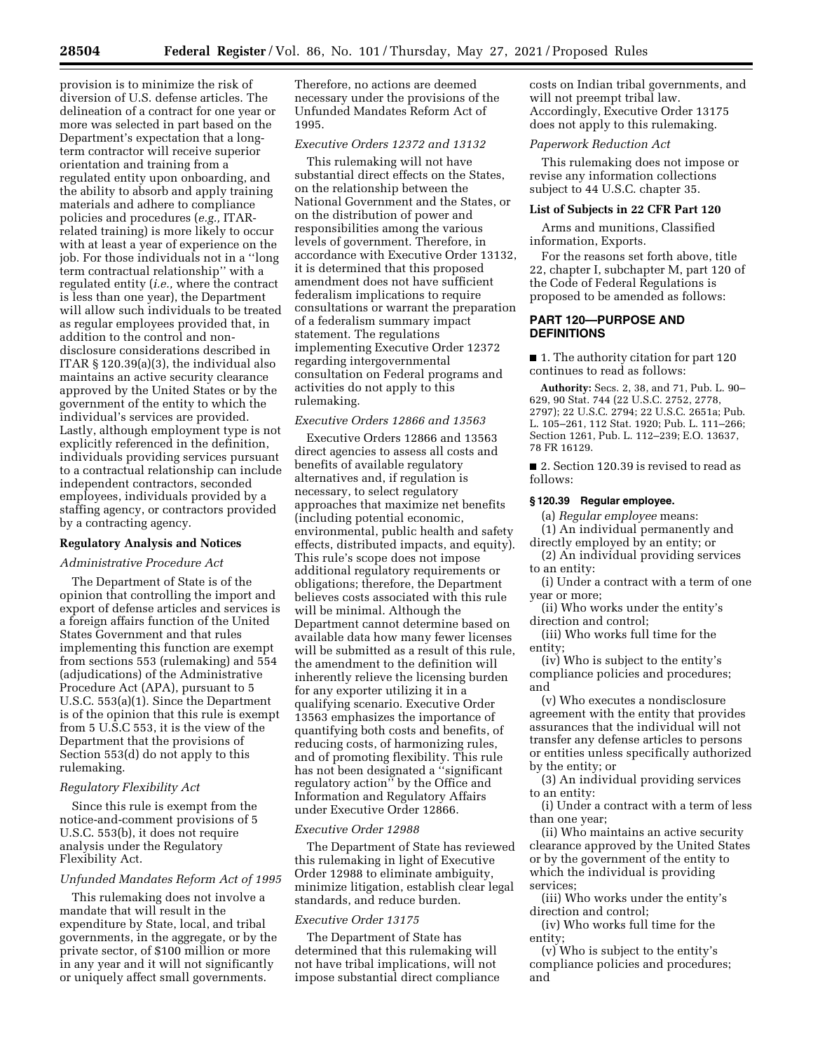provision is to minimize the risk of diversion of U.S. defense articles. The delineation of a contract for one year or more was selected in part based on the Department's expectation that a longterm contractor will receive superior orientation and training from a regulated entity upon onboarding, and the ability to absorb and apply training materials and adhere to compliance policies and procedures (*e.g.,* ITARrelated training) is more likely to occur with at least a year of experience on the job. For those individuals not in a ''long term contractual relationship'' with a regulated entity (*i.e.,* where the contract is less than one year), the Department will allow such individuals to be treated as regular employees provided that, in addition to the control and nondisclosure considerations described in ITAR § 120.39(a)(3), the individual also maintains an active security clearance approved by the United States or by the government of the entity to which the individual's services are provided. Lastly, although employment type is not explicitly referenced in the definition, individuals providing services pursuant to a contractual relationship can include independent contractors, seconded employees, individuals provided by a staffing agency, or contractors provided by a contracting agency.

## **Regulatory Analysis and Notices**

## *Administrative Procedure Act*

The Department of State is of the opinion that controlling the import and export of defense articles and services is a foreign affairs function of the United States Government and that rules implementing this function are exempt from sections 553 (rulemaking) and 554 (adjudications) of the Administrative Procedure Act (APA), pursuant to 5 U.S.C. 553(a)(1). Since the Department is of the opinion that this rule is exempt from 5 U.S.C 553, it is the view of the Department that the provisions of Section 553(d) do not apply to this rulemaking.

## *Regulatory Flexibility Act*

Since this rule is exempt from the notice-and-comment provisions of 5 U.S.C. 553(b), it does not require analysis under the Regulatory Flexibility Act.

# *Unfunded Mandates Reform Act of 1995*

This rulemaking does not involve a mandate that will result in the expenditure by State, local, and tribal governments, in the aggregate, or by the private sector, of \$100 million or more in any year and it will not significantly or uniquely affect small governments.

Therefore, no actions are deemed necessary under the provisions of the Unfunded Mandates Reform Act of 1995.

# *Executive Orders 12372 and 13132*

This rulemaking will not have substantial direct effects on the States, on the relationship between the National Government and the States, or on the distribution of power and responsibilities among the various levels of government. Therefore, in accordance with Executive Order 13132, it is determined that this proposed amendment does not have sufficient federalism implications to require consultations or warrant the preparation of a federalism summary impact statement. The regulations implementing Executive Order 12372 regarding intergovernmental consultation on Federal programs and activities do not apply to this rulemaking.

## *Executive Orders 12866 and 13563*

Executive Orders 12866 and 13563 direct agencies to assess all costs and benefits of available regulatory alternatives and, if regulation is necessary, to select regulatory approaches that maximize net benefits (including potential economic, environmental, public health and safety effects, distributed impacts, and equity). This rule's scope does not impose additional regulatory requirements or obligations; therefore, the Department believes costs associated with this rule will be minimal. Although the Department cannot determine based on available data how many fewer licenses will be submitted as a result of this rule, the amendment to the definition will inherently relieve the licensing burden for any exporter utilizing it in a qualifying scenario. Executive Order 13563 emphasizes the importance of quantifying both costs and benefits, of reducing costs, of harmonizing rules, and of promoting flexibility. This rule has not been designated a ''significant regulatory action'' by the Office and Information and Regulatory Affairs under Executive Order 12866.

#### *Executive Order 12988*

The Department of State has reviewed this rulemaking in light of Executive Order 12988 to eliminate ambiguity, minimize litigation, establish clear legal standards, and reduce burden.

#### *Executive Order 13175*

The Department of State has determined that this rulemaking will not have tribal implications, will not impose substantial direct compliance costs on Indian tribal governments, and will not preempt tribal law. Accordingly, Executive Order 13175 does not apply to this rulemaking.

## *Paperwork Reduction Act*

This rulemaking does not impose or revise any information collections subject to 44 U.S.C. chapter 35.

#### **List of Subjects in 22 CFR Part 120**

Arms and munitions, Classified information, Exports.

For the reasons set forth above, title 22, chapter I, subchapter M, part 120 of the Code of Federal Regulations is proposed to be amended as follows:

# **PART 120—PURPOSE AND DEFINITIONS**

■ 1. The authority citation for part 120 continues to read as follows:

**Authority:** Secs. 2, 38, and 71, Pub. L. 90– 629, 90 Stat. 744 (22 U.S.C. 2752, 2778, 2797); 22 U.S.C. 2794; 22 U.S.C. 2651a; Pub. L. 105–261, 112 Stat. 1920; Pub. L. 111–266; Section 1261, Pub. L. 112–239; E.O. 13637, 78 FR 16129.

■ 2. Section 120.39 is revised to read as follows:

### **§ 120.39 Regular employee.**

(a) *Regular employee* means:

(1) An individual permanently and directly employed by an entity; or

(2) An individual providing services to an entity:

(i) Under a contract with a term of one year or more;

(ii) Who works under the entity's direction and control;

(iii) Who works full time for the entity;

(iv) Who is subject to the entity's compliance policies and procedures; and

(v) Who executes a nondisclosure agreement with the entity that provides assurances that the individual will not transfer any defense articles to persons or entities unless specifically authorized by the entity; or

(3) An individual providing services to an entity:

(i) Under a contract with a term of less than one year;

(ii) Who maintains an active security clearance approved by the United States or by the government of the entity to which the individual is providing services;

(iii) Who works under the entity's direction and control;

(iv) Who works full time for the entity;

(v) Who is subject to the entity's compliance policies and procedures; and